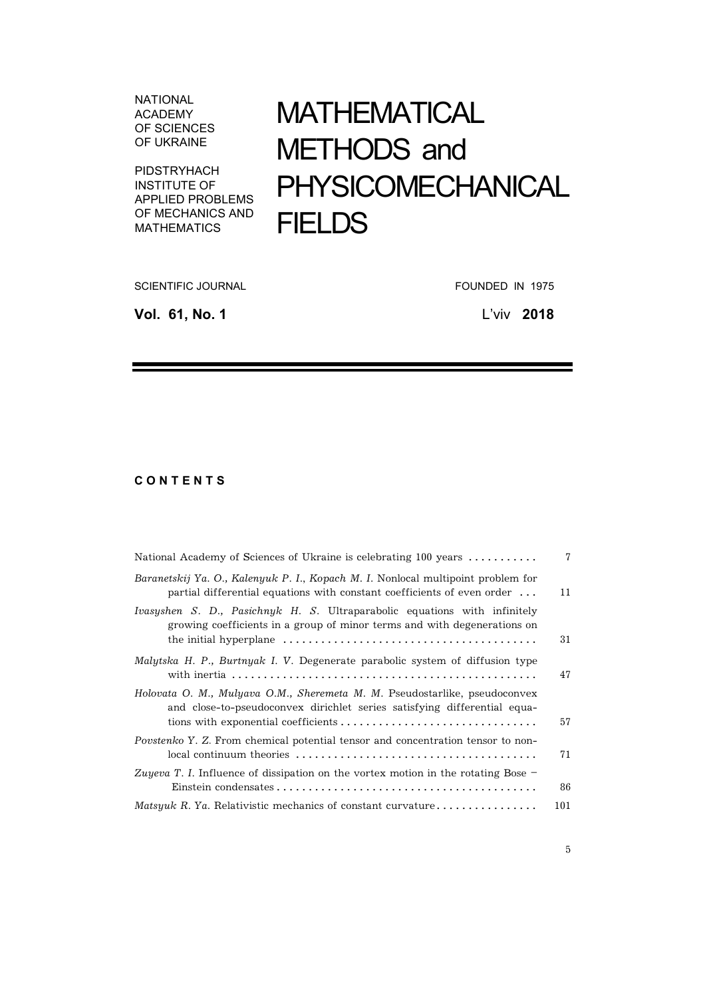NATIONAL ACADEMY OF SCIENCES OF UKRAINE

PIDSTRYHACH INSTITUTE OF APPLIED PROBLEMS OF MECHANICS AND MATHEMATICS

## МАТHЕМАТІCAL МЕТHОDS and PHYSICOМЕCHANICAL **FIELDS**

SCIENTIFIC JOURNAL **FOUNDED IN 1975** 

**Vol. 61, No. 1** L'viv **2018**

## **C O N T E N T S**

| National Academy of Sciences of Ukraine is celebrating 100 years                                                                                                    | 7   |
|---------------------------------------------------------------------------------------------------------------------------------------------------------------------|-----|
| Baranetskij Ya. O., Kalenyuk P. I., Kopach M. I. Nonlocal multipoint problem for<br>partial differential equations with constant coefficients of even order $\dots$ | 11  |
| Ivasyshen S. D., Pasichnyk H. S. Ultraparabolic equations with infinitely<br>growing coefficients in a group of minor terms and with degenerations on               | 31  |
| Malytska H. P., Burtnyak I. V. Degenerate parabolic system of diffusion type                                                                                        | 47  |
| Holovata O. M., Mulyava O.M., Sheremeta M. M. Pseudostarlike, pseudoconvex<br>and close-to-pseudoconvex dirichlet series satisfying differential equa-              | 57  |
| Povstenko Y. Z. From chemical potential tensor and concentration tensor to non-                                                                                     | 71  |
| Zuyeva T. I. Influence of dissipation on the vortex motion in the rotating Bose $-$                                                                                 | 86  |
| <i>Matsyuk R. Ya. Relativistic mechanics of constant curvature</i>                                                                                                  | 101 |